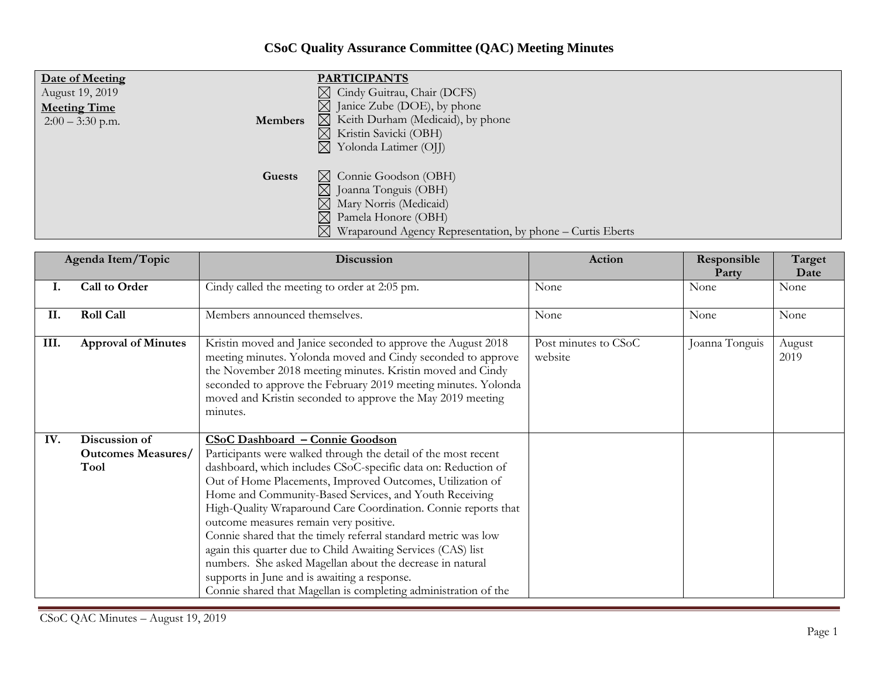## **CSoC Quality Assurance Committee (QAC) Meeting Minutes**

| Date of Meeting<br>August 19, 2019<br><b>Meeting Time</b><br><b>Members</b><br>$2:00 - 3:30$ p.m. | <b>PARTICIPANTS</b><br>$\boxtimes$ Cindy Guitrau, Chair (DCFS)<br>$\boxtimes$ Janice Zube (DOE), by phone<br>$\boxtimes$ Keith Durham (Medicaid), by phone<br>Kristin Savicki (OBH)<br>$\boxtimes$<br>Yolonda Latimer (OJJ)<br>$\boxtimes$ |
|---------------------------------------------------------------------------------------------------|--------------------------------------------------------------------------------------------------------------------------------------------------------------------------------------------------------------------------------------------|
| Guests                                                                                            | $\boxtimes$ Connie Goodson (OBH)<br>⊠<br>Joanna Tonguis (OBH)<br>Mary Norris (Medicaid)<br>$\boxtimes$<br>$\boxtimes$<br>Pamela Honore (OBH)<br>$\boxtimes$<br>Wraparound Agency Representation, by phone – Curtis Eberts                  |

| Agenda Item/Topic |                            | <b>Discussion</b>                                                                                                                                                                                                                                                                                                                      | Action                          | Responsible<br>Party | Target<br>Date |
|-------------------|----------------------------|----------------------------------------------------------------------------------------------------------------------------------------------------------------------------------------------------------------------------------------------------------------------------------------------------------------------------------------|---------------------------------|----------------------|----------------|
| Ι.                | Call to Order              | Cindy called the meeting to order at 2:05 pm.                                                                                                                                                                                                                                                                                          | None                            | None                 | None           |
| II.               | <b>Roll Call</b>           | Members announced themselves.                                                                                                                                                                                                                                                                                                          | None                            | None                 | None           |
| III.              | <b>Approval of Minutes</b> | Kristin moved and Janice seconded to approve the August 2018<br>meeting minutes. Yolonda moved and Cindy seconded to approve<br>the November 2018 meeting minutes. Kristin moved and Cindy<br>seconded to approve the February 2019 meeting minutes. Yolonda<br>moved and Kristin seconded to approve the May 2019 meeting<br>minutes. | Post minutes to CSoC<br>website | Joanna Tonguis       | August<br>2019 |
| IV.               | Discussion of              | CSoC Dashboard - Connie Goodson                                                                                                                                                                                                                                                                                                        |                                 |                      |                |
|                   | <b>Outcomes Measures/</b>  | Participants were walked through the detail of the most recent                                                                                                                                                                                                                                                                         |                                 |                      |                |
|                   | Tool                       | dashboard, which includes CSoC-specific data on: Reduction of<br>Out of Home Placements, Improved Outcomes, Utilization of                                                                                                                                                                                                             |                                 |                      |                |
|                   |                            | Home and Community-Based Services, and Youth Receiving                                                                                                                                                                                                                                                                                 |                                 |                      |                |
|                   |                            | High-Quality Wraparound Care Coordination. Connie reports that                                                                                                                                                                                                                                                                         |                                 |                      |                |
|                   |                            | outcome measures remain very positive.                                                                                                                                                                                                                                                                                                 |                                 |                      |                |
|                   |                            | Connie shared that the timely referral standard metric was low                                                                                                                                                                                                                                                                         |                                 |                      |                |
|                   |                            | again this quarter due to Child Awaiting Services (CAS) list                                                                                                                                                                                                                                                                           |                                 |                      |                |
|                   |                            | numbers. She asked Magellan about the decrease in natural                                                                                                                                                                                                                                                                              |                                 |                      |                |
|                   |                            | supports in June and is awaiting a response.                                                                                                                                                                                                                                                                                           |                                 |                      |                |
|                   |                            | Connie shared that Magellan is completing administration of the                                                                                                                                                                                                                                                                        |                                 |                      |                |